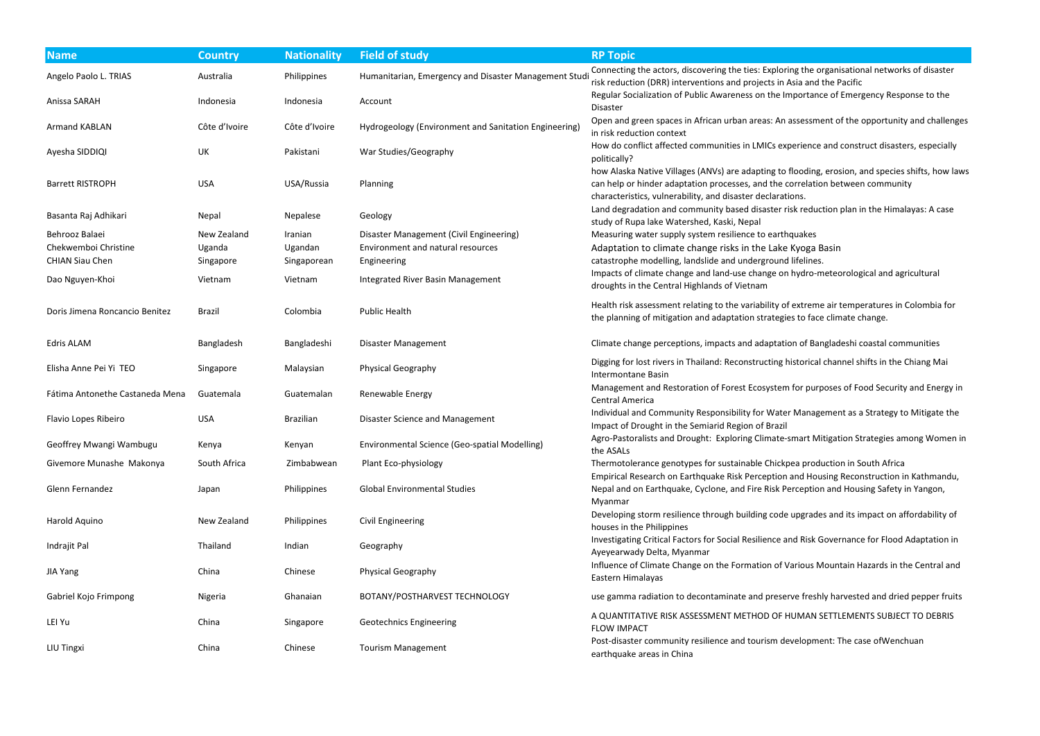| <b>Name</b>                                                      | <b>Country</b>                     | <b>Nationality</b>                | <b>Field of study</b>                                                                       | <b>RP Topic</b>                                                                                                                                                                                                                                                                |
|------------------------------------------------------------------|------------------------------------|-----------------------------------|---------------------------------------------------------------------------------------------|--------------------------------------------------------------------------------------------------------------------------------------------------------------------------------------------------------------------------------------------------------------------------------|
| Angelo Paolo L. TRIAS                                            | Australia                          | Philippines                       | Humanitarian, Emergency and Disaster Management Studi                                       | Connecting the actors, discovering the ties: Exploring the organisational networks of disaster<br>risk reduction (DRR) interventions and projects in Asia and the Pacific                                                                                                      |
| Anissa SARAH                                                     | Indonesia                          | Indonesia                         | Account                                                                                     | Regular Socialization of Public Awareness on the Importance of Emergency Response to the<br>Disaster                                                                                                                                                                           |
| <b>Armand KABLAN</b>                                             | Côte d'Ivoire                      | Côte d'Ivoire                     | Hydrogeology (Environment and Sanitation Engineering)                                       | Open and green spaces in African urban areas: An assessment of the opportunity and challen<br>in risk reduction context                                                                                                                                                        |
| Ayesha SIDDIQI                                                   | UK                                 | Pakistani                         | War Studies/Geography                                                                       | How do conflict affected communities in LMICs experience and construct disasters, especially<br>politically?                                                                                                                                                                   |
| <b>Barrett RISTROPH</b>                                          | <b>USA</b>                         | USA/Russia                        | Planning                                                                                    | how Alaska Native Villages (ANVs) are adapting to flooding, erosion, and species shifts, how la<br>can help or hinder adaptation processes, and the correlation between community<br>characteristics, vulnerability, and disaster declarations.                                |
| Basanta Raj Adhikari                                             | Nepal                              | Nepalese                          | Geology                                                                                     | Land degradation and community based disaster risk reduction plan in the Himalayas: A case<br>study of Rupa lake Watershed, Kaski, Nepal                                                                                                                                       |
| Behrooz Balaei<br>Chekwemboi Christine<br><b>CHIAN Siau Chen</b> | New Zealand<br>Uganda<br>Singapore | Iranian<br>Ugandan<br>Singaporean | Disaster Management (Civil Engineering)<br>Environment and natural resources<br>Engineering | Measuring water supply system resilience to earthquakes<br>Adaptation to climate change risks in the Lake Kyoga Basin<br>catastrophe modelling, landslide and underground lifelines.<br>Impacts of climate change and land-use change on hydro-meteorological and agricultural |
| Dao Nguyen-Khoi                                                  | Vietnam                            | Vietnam                           | Integrated River Basin Management                                                           | droughts in the Central Highlands of Vietnam                                                                                                                                                                                                                                   |
| Doris Jimena Roncancio Benitez                                   | Brazil                             | Colombia                          | <b>Public Health</b>                                                                        | Health risk assessment relating to the variability of extreme air temperatures in Colombia for<br>the planning of mitigation and adaptation strategies to face climate change.                                                                                                 |
| <b>Edris ALAM</b>                                                | Bangladesh                         | Bangladeshi                       | <b>Disaster Management</b>                                                                  | Climate change perceptions, impacts and adaptation of Bangladeshi coastal communities                                                                                                                                                                                          |
| Elisha Anne Pei Yi TEO                                           | Singapore                          | Malaysian                         | <b>Physical Geography</b>                                                                   | Digging for lost rivers in Thailand: Reconstructing historical channel shifts in the Chiang Mai<br>Intermontane Basin                                                                                                                                                          |
| Fátima Antonethe Castaneda Mena                                  | Guatemala                          | Guatemalan                        | Renewable Energy                                                                            | Management and Restoration of Forest Ecosystem for purposes of Food Security and Energy<br>Central America                                                                                                                                                                     |
| Flavio Lopes Ribeiro                                             | <b>USA</b>                         | <b>Brazilian</b>                  | Disaster Science and Management                                                             | Individual and Community Responsibility for Water Management as a Strategy to Mitigate the<br>Impact of Drought in the Semiarid Region of Brazil                                                                                                                               |
| Geoffrey Mwangi Wambugu                                          | Kenya                              | Kenyan                            | Environmental Science (Geo-spatial Modelling)                                               | Agro-Pastoralists and Drought: Exploring Climate-smart Mitigation Strategies among Women<br>the ASALs                                                                                                                                                                          |
| Givemore Munashe Makonya                                         | South Africa                       | Zimbabwean                        | Plant Eco-physiology                                                                        | Thermotolerance genotypes for sustainable Chickpea production in South Africa<br>Empirical Research on Earthquake Risk Perception and Housing Reconstruction in Kathmandu                                                                                                      |
| Glenn Fernandez                                                  | Japan                              | Philippines                       | <b>Global Environmental Studies</b>                                                         | Nepal and on Earthquake, Cyclone, and Fire Risk Perception and Housing Safety in Yangon,<br>Myanmar                                                                                                                                                                            |
| Harold Aquino                                                    | New Zealand                        | Philippines                       | <b>Civil Engineering</b>                                                                    | Developing storm resilience through building code upgrades and its impact on affordability of<br>houses in the Philippines                                                                                                                                                     |
| Indrajit Pal                                                     | Thailand                           | Indian                            | Geography                                                                                   | Investigating Critical Factors for Social Resilience and Risk Governance for Flood Adaptation in<br>Ayeyearwady Delta, Myanmar                                                                                                                                                 |
| JIA Yang                                                         | China                              | Chinese                           | Physical Geography                                                                          | Influence of Climate Change on the Formation of Various Mountain Hazards in the Central an<br>Eastern Himalayas                                                                                                                                                                |
| Gabriel Kojo Frimpong                                            | Nigeria                            | Ghanaian                          | BOTANY/POSTHARVEST TECHNOLOGY                                                               | use gamma radiation to decontaminate and preserve freshly harvested and dried pepper frui                                                                                                                                                                                      |
| LEI Yu                                                           | China                              | Singapore                         | <b>Geotechnics Engineering</b>                                                              | A QUANTITATIVE RISK ASSESSMENT METHOD OF HUMAN SETTLEMENTS SUBJECT TO DEBRIS<br><b>FLOW IMPACT</b>                                                                                                                                                                             |
| LIU Tingxi                                                       | China                              | Chinese                           | <b>Tourism Management</b>                                                                   | Post-disaster community resilience and tourism development: The case of Wenchuan<br>earthquake areas in China                                                                                                                                                                  |

- **Asia and the Pacific**
- Importance of Emergency Response to the
- assessment of the opportunity and challenges (Breen and Sanitation
- xperience and construct disasters, especially
- flooding, erosion, and species shifts, how laws correlation between community ations.
- risk reduction plan in the Himalayas: A case
- 
- 
- 
- of extreme air temperatures in Colombia for the planning planning of the planning and addenning the strate change.
- tion of Bangladeshi coastal communities
- 
- m for purposes of Food Security and Energy in
- Flavior Management as a Strategy to Mitigate the
- e-smart Mitigation Strategies among Women in
- kpea production in South Africa
- In and Housing Reconstruction in Kathmandu, Perception and Housing Safety in Yangon,
- de upgrades and its impact on affordability of
- and Risk Governance for Flood Adaptation in
- Various Mountain Hazards in the Central and
- erve freshly harvested and dried pepper fruits
- HUMAN SETTLEMENTS SUBJECT TO DEBRIS
- development: The case ofWenchuan